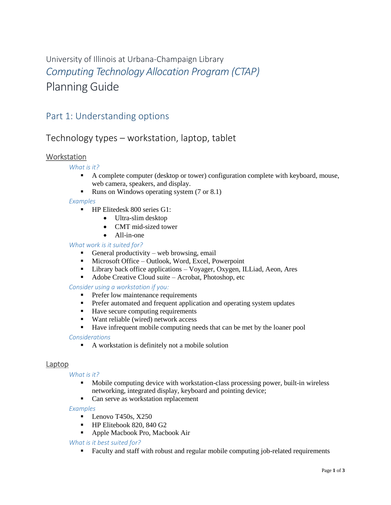# University of Illinois at Urbana-Champaign Library *Computing Technology Allocation Program (CTAP)* Planning Guide

## Part 1: Understanding options

### Technology types – workstation, laptop, tablet

### **Workstation**

*What is it?*

- A complete computer (desktop or tower) configuration complete with keyboard, mouse, web camera, speakers, and display.
- Runs on Windows operating system (7 or 8.1)

#### *Examples*

- **HP Elitedesk 800 series G1:** 
	- Ultra-slim desktop
	- CMT mid-sized tower
	- All-in-one

#### *What work is it suited for?*

- General productivity web browsing, email
- **Microsoft Office Outlook, Word, Excel, Powerpoint**
- Library back office applications Voyager, Oxygen, ILLiad, Aeon, Ares
- Adobe Creative Cloud suite Acrobat, Photoshop, etc

#### *Consider using a workstation if you:*

- **Prefer low maintenance requirements**
- **Prefer automated and frequent application and operating system updates**
- Have secure computing requirements
- Want reliable (wired) network access
- Have infrequent mobile computing needs that can be met by the loaner pool

#### *Considerations*

A workstation is definitely not a mobile solution

#### Laptop

#### *What is it?*

- Mobile computing device with workstation-class processing power, built-in wireless networking, integrated display, keyboard and pointing device;
- Can serve as workstation replacement

#### *Examples*

- $\blacksquare$  Lenovo T450s, X250
- HP Elitebook 820, 840 G2
- **Apple Macbook Pro, Macbook Air**

#### *What is it best suited for?*

Faculty and staff with robust and regular mobile computing job-related requirements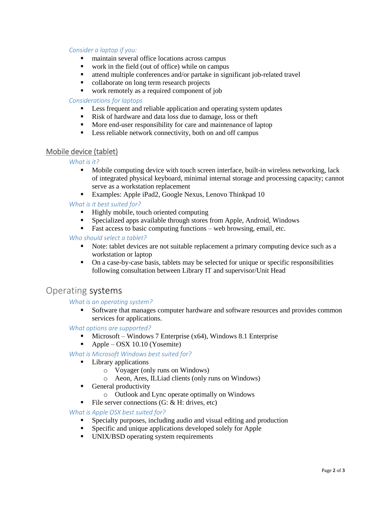#### *Consider a laptop if you:*

- maintain several office locations across campus
- work in the field (out of office) while on campus
- attend multiple conferences and/or partake in significant job-related travel
- collaborate on long term research projects
- work remotely as a required component of job

#### *Considerations for laptops*

- **Less frequent and reliable application and operating system updates**
- Risk of hardware and data loss due to damage, loss or theft
- More end-user responsibility for care and maintenance of laptop
- **Less reliable network connectivity, both on and off campus**

#### Mobile device (tablet)

#### *What is it?*

- **Mobile computing device with touch screen interface, built-in wireless networking, lack** of integrated physical keyboard, minimal internal storage and processing capacity; cannot serve as a workstation replacement
- Examples: Apple iPad2, Google Nexus, Lenovo Thinkpad 10

#### *What is it best suited for?*

- **Highly mobile, touch oriented computing**
- Specialized apps available through stores from Apple, Android, Windows
- Fast access to basic computing functions web browsing, email, etc.

#### *Who should select a tablet?*

- Note: tablet devices are not suitable replacement a primary computing device such as a workstation or laptop
- On a case-by-case basis, tablets may be selected for unique or specific responsibilities following consultation between Library IT and supervisor/Unit Head

### Operating systems

#### *What is an operating system?*

 Software that manages computer hardware and software resources and provides common services for applications.

#### *What options are supported?*

- $\blacksquare$  Microsoft Windows 7 Enterprise (x64), Windows 8.1 Enterprise
- Apple OSX 10.10 (Yosemite)

#### *What is Microsoft Windows best suited for?*

- **Library applications** 
	- o Voyager (only runs on Windows)
	- o Aeon, Ares, ILLiad clients (only runs on Windows)
- General productivity
	- o Outlook and Lync operate optimally on Windows
- File server connections  $(G: \& H: \text{ drives}, \text{etc})$

#### *What is Apple OSX best suited for?*

- Specialty purposes, including audio and visual editing and production
- Specific and unique applications developed solely for Apple
- UNIX/BSD operating system requirements